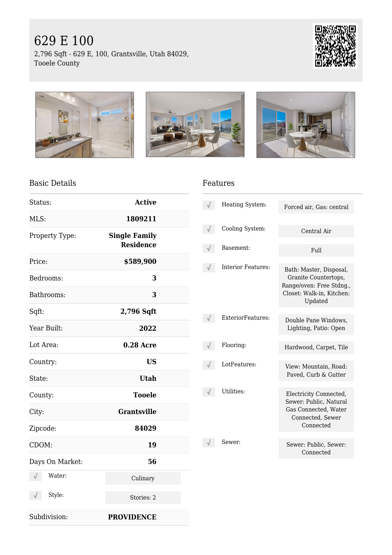# 629 E 100

2,796 Sqft - 629 E, 100, Grantsville, Utah 84029, Tooele County





#### Basic Details

| Status:              | <b>Active</b>                            |  |
|----------------------|------------------------------------------|--|
| MLS:                 | 1809211                                  |  |
| Property Type:       | <b>Single Family</b><br><b>Residence</b> |  |
| Price:               | \$589,900                                |  |
| Bedrooms:            | 3                                        |  |
| Bathrooms:           | 3                                        |  |
| Sqft:                | 2,796 Sqft                               |  |
| Year Built:          | 2022                                     |  |
| Lot Area:            | <b>0.28 Acre</b>                         |  |
| Country:             | <b>US</b>                                |  |
| State:               | <b>Utah</b>                              |  |
| County:              | <b>Tooele</b>                            |  |
| City:                | <b>Grantsville</b>                       |  |
| Zipcode:             | 84029                                    |  |
| CDOM:                | 19                                       |  |
| Days On Market:      | 56                                       |  |
| Water:<br>√          | Culinary                                 |  |
| Style:<br>$\sqrt{ }$ | Stories: 2                               |  |
| Subdivision:         | <b>PROVIDENCE</b>                        |  |

#### Features

| Heating System:    | Forced air, Gas: central                                                                                            |
|--------------------|---------------------------------------------------------------------------------------------------------------------|
| Cooling System:    | Central Air                                                                                                         |
| Basement:          | Full                                                                                                                |
| Interior Features: | Bath: Master, Disposal,<br>Granite Countertops,<br>Range/oven: Free Stdng.,<br>Closet: Walk-in, Kitchen:<br>Updated |
| ExteriorFeatures:  | Double Pane Windows,<br>Lighting, Patio: Open                                                                       |
| Flooring:          | Hardwood, Carpet, Tile                                                                                              |
| LotFeatures:       | View: Mountain, Road:<br>Paved, Curb & Gutter                                                                       |
| Utilities:         | Electricity Connected,<br>Sewer: Public, Natural<br>Gas Connected, Water<br>Connected, Sewer<br>Connected           |
| Sewer:             | Sewer: Public, Sewer:<br>Connected                                                                                  |